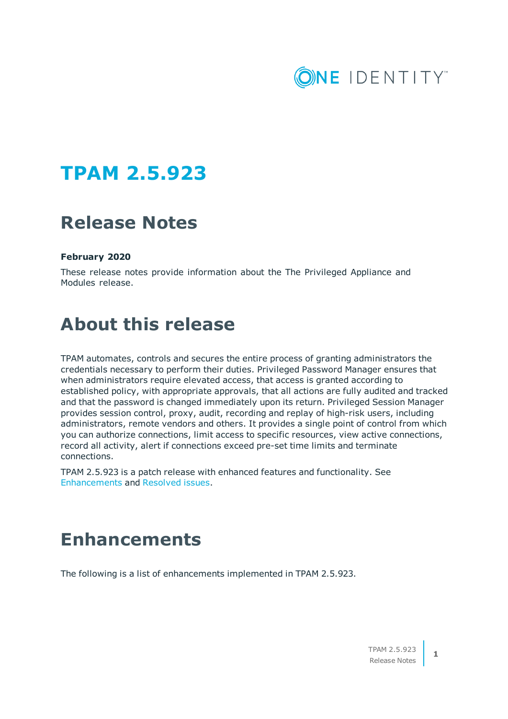

## **TPAM 2.5.923**

## **Release Notes**

### **February 2020**

These release notes provide information about the The Privileged Appliance and Modules release.

## **About this release**

TPAM automates, controls and secures the entire process of granting administrators the credentials necessary to perform their duties. Privileged Password Manager ensures that when administrators require elevated access, that access is granted according to established policy, with appropriate approvals, that all actions are fully audited and tracked and that the password is changed immediately upon its return. Privileged Session Manager provides session control, proxy, audit, recording and replay of high-risk users, including administrators, remote vendors and others. It provides a single point of control from which you can authorize connections, limit access to specific resources, view active connections, record all activity, alert if connections exceed pre-set time limits and terminate connections.

TPAM 2.5.923 is a patch release with enhanced features and functionality. See [Enhancements](#page-0-0) and Resolved issues.

## <span id="page-0-0"></span>**Enhancements**

The following is a list of enhancements implemented in TPAM 2.5.923.

**1**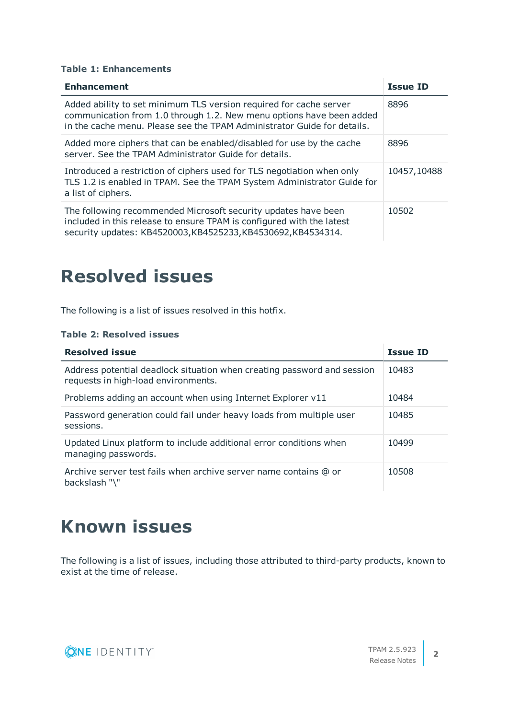### **Table 1: Enhancements**

| <b>Enhancement</b>                                                                                                                                                                                                    | <b>Issue ID</b> |
|-----------------------------------------------------------------------------------------------------------------------------------------------------------------------------------------------------------------------|-----------------|
| Added ability to set minimum TLS version required for cache server<br>communication from 1.0 through 1.2. New menu options have been added<br>in the cache menu. Please see the TPAM Administrator Guide for details. | 8896            |
| Added more ciphers that can be enabled/disabled for use by the cache<br>server. See the TPAM Administrator Guide for details.                                                                                         | 8896            |
| Introduced a restriction of ciphers used for TLS negotiation when only<br>TLS 1.2 is enabled in TPAM. See the TPAM System Administrator Guide for<br>a list of ciphers.                                               | 10457,10488     |
| The following recommended Microsoft security updates have been<br>included in this release to ensure TPAM is configured with the latest<br>security updates: KB4520003, KB4525233, KB4530692, KB4534314.              | 10502           |

## **Resolved issues**

The following is a list of issues resolved in this hotfix.

### **Table 2: Resolved issues**

| <b>Resolved issue</b>                                                                                          | <b>Issue ID</b> |
|----------------------------------------------------------------------------------------------------------------|-----------------|
| Address potential deadlock situation when creating password and session<br>requests in high-load environments. | 10483           |
| Problems adding an account when using Internet Explorer v11                                                    | 10484           |
| Password generation could fail under heavy loads from multiple user<br>sessions.                               | 10485           |
| Updated Linux platform to include additional error conditions when<br>managing passwords.                      | 10499           |
| Archive server test fails when archive server name contains @ or<br>backslash "\"                              | 10508           |

## **Known issues**

The following is a list of issues, including those attributed to third-party products, known to exist at the time of release.

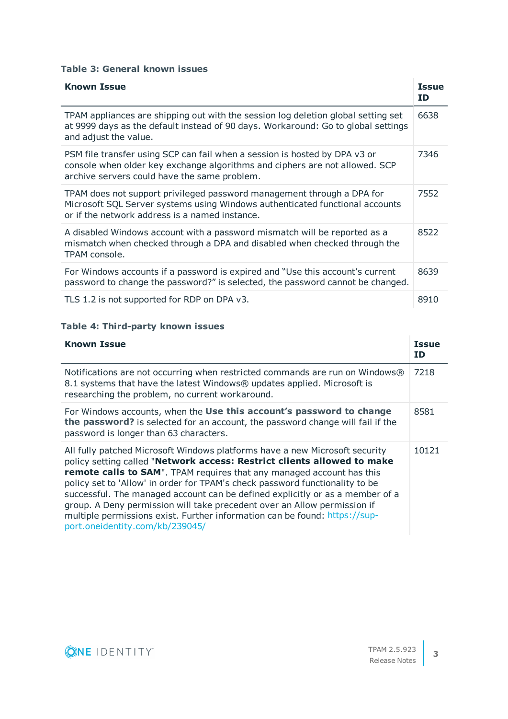### **Table 3: General known issues**

| <b>Known Issue</b>                                                                                                                                                                                        | <b>Issue</b><br><b>ID</b> |
|-----------------------------------------------------------------------------------------------------------------------------------------------------------------------------------------------------------|---------------------------|
| TPAM appliances are shipping out with the session log deletion global setting set<br>at 9999 days as the default instead of 90 days. Workaround: Go to global settings<br>and adjust the value.           | 6638                      |
| PSM file transfer using SCP can fail when a session is hosted by DPA v3 or<br>console when older key exchange algorithms and ciphers are not allowed. SCP<br>archive servers could have the same problem. | 7346                      |
| TPAM does not support privileged password management through a DPA for<br>Microsoft SQL Server systems using Windows authenticated functional accounts<br>or if the network address is a named instance.  | 7552                      |
| A disabled Windows account with a password mismatch will be reported as a<br>mismatch when checked through a DPA and disabled when checked through the<br>TPAM console.                                   | 8522                      |
| For Windows accounts if a password is expired and "Use this account's current<br>password to change the password?" is selected, the password cannot be changed.                                           | 8639                      |
| TLS 1.2 is not supported for RDP on DPA v3.                                                                                                                                                               | 8910                      |

### **Table 4: Third-party known issues**

| <b>Known Issue</b>                                                                                                                                                                                                                                                                                                                                                                                                                                                                                                                                                                                   | <b>Issue</b><br><b>ID</b> |
|------------------------------------------------------------------------------------------------------------------------------------------------------------------------------------------------------------------------------------------------------------------------------------------------------------------------------------------------------------------------------------------------------------------------------------------------------------------------------------------------------------------------------------------------------------------------------------------------------|---------------------------|
| Notifications are not occurring when restricted commands are run on Windows®<br>8.1 systems that have the latest Windows® updates applied. Microsoft is<br>researching the problem, no current workaround.                                                                                                                                                                                                                                                                                                                                                                                           | 7218                      |
| For Windows accounts, when the Use this account's password to change<br>the password? is selected for an account, the password change will fail if the<br>password is longer than 63 characters.                                                                                                                                                                                                                                                                                                                                                                                                     | 8581                      |
| All fully patched Microsoft Windows platforms have a new Microsoft security<br>policy setting called "Network access: Restrict clients allowed to make<br><b>remote calls to SAM".</b> TPAM requires that any managed account has this<br>policy set to 'Allow' in order for TPAM's check password functionality to be<br>successful. The managed account can be defined explicitly or as a member of a<br>group. A Deny permission will take precedent over an Allow permission if<br>multiple permissions exist. Further information can be found: https://sup-<br>port.oneidentity.com/kb/239045/ | 10121                     |

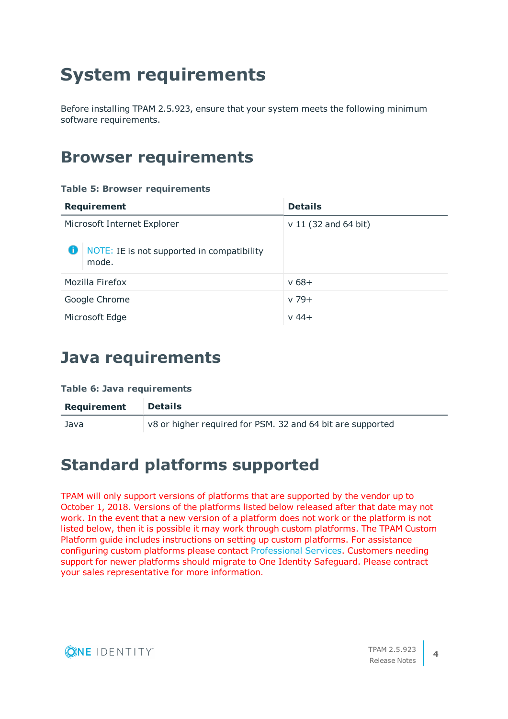# **System requirements**

Before installing TPAM 2.5.923, ensure that your system meets the following minimum software requirements.

## **Browser requirements**

### **Table 5: Browser requirements**

| <b>Requirement</b>                                       | <b>Details</b>         |
|----------------------------------------------------------|------------------------|
| Microsoft Internet Explorer                              | $v 11$ (32 and 64 bit) |
| NOTE: IE is not supported in compatibility<br>O<br>mode. |                        |
| Mozilla Firefox                                          | $v 68 +$               |
| Google Chrome                                            | $v$ 79+                |
| Microsoft Edge                                           | $v 44+$                |

### **Java requirements**

### **Table 6: Java requirements**

| Requirement | <b>Details</b>                                             |
|-------------|------------------------------------------------------------|
| Java        | v8 or higher required for PSM. 32 and 64 bit are supported |

### **Standard platforms supported**

TPAM will only support versions of platforms that are supported by the vendor up to October 1, 2018. Versions of the platforms listed below released after that date may not work. In the event that a new version of a platform does not work or the platform is not listed below, then it is possible it may work through custom platforms. The TPAM Custom Platform guide includes instructions on setting up custom platforms. For assistance configuring custom platforms please contact [Professional](https://support.oneidentity.com/professional-services-product-select) Services. Customers needing support for newer platforms should migrate to One Identity Safeguard. Please contract your sales representative for more information.

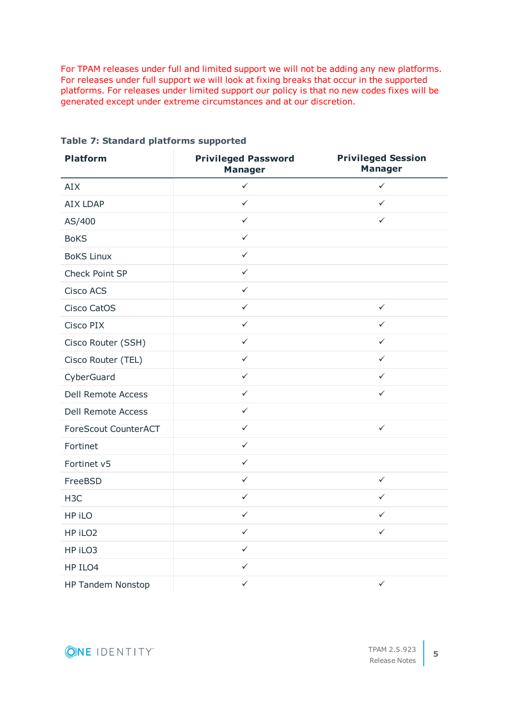For TPAM releases under full and limited support we will not be adding any new platforms. For releases under full support we will look at fixing breaks that occur in the supported platforms. For releases under limited support our policy is that no new codes fixes will be generated except under extreme circumstances and at our discretion.

| <b>Platform</b>             | <b>Privileged Password</b><br><b>Manager</b> | <b>Privileged Session</b><br><b>Manager</b> |
|-----------------------------|----------------------------------------------|---------------------------------------------|
| AIX                         | $\checkmark$                                 | $\checkmark$                                |
| <b>AIX LDAP</b>             | $\checkmark$                                 | $\checkmark$                                |
| AS/400                      | $\checkmark$                                 | $\checkmark$                                |
| <b>BoKS</b>                 | $\checkmark$                                 |                                             |
| <b>BoKS Linux</b>           | $\checkmark$                                 |                                             |
| Check Point SP              | $\checkmark$                                 |                                             |
| <b>Cisco ACS</b>            | $\checkmark$                                 |                                             |
| Cisco CatOS                 | $\checkmark$                                 | $\checkmark$                                |
| Cisco PIX                   | $\checkmark$                                 | $\checkmark$                                |
| Cisco Router (SSH)          | $\checkmark$                                 | $\checkmark$                                |
| Cisco Router (TEL)          | $\checkmark$                                 | $\checkmark$                                |
| CyberGuard                  | $\checkmark$                                 | $\checkmark$                                |
| <b>Dell Remote Access</b>   | $\checkmark$                                 | $\checkmark$                                |
| <b>Dell Remote Access</b>   | $\checkmark$                                 |                                             |
| <b>ForeScout CounterACT</b> | $\checkmark$                                 | $\checkmark$                                |
| Fortinet                    | $\checkmark$                                 |                                             |
| Fortinet v5                 | $\checkmark$                                 |                                             |
| FreeBSD                     | $\checkmark$                                 | $\checkmark$                                |
| H <sub>3</sub> C            | $\checkmark$                                 | $\checkmark$                                |
| HP iLO                      | $\checkmark$                                 | $\checkmark$                                |
| HP iLO2                     | $\checkmark$                                 | $\checkmark$                                |
| HP iLO3                     | $\checkmark$                                 |                                             |
| HP ILO4                     | $\checkmark$                                 |                                             |
| HP Tandem Nonstop           | $\checkmark$                                 | $\checkmark$                                |

**Table 7: Standard platforms supported**



**5**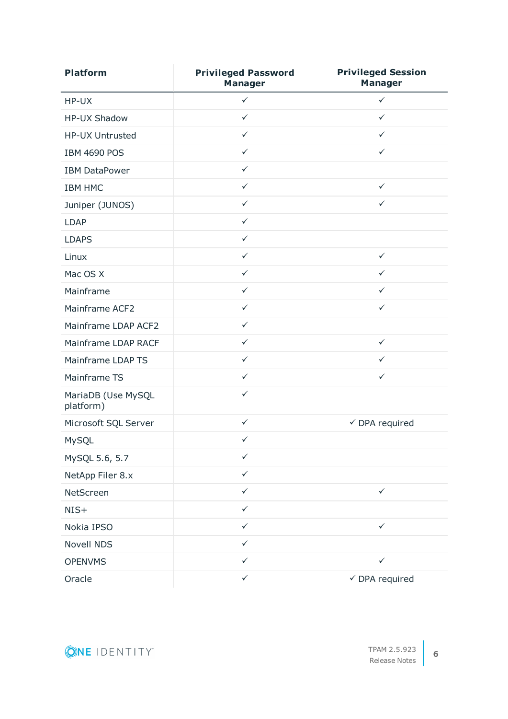| <b>Platform</b>                 | <b>Privileged Password</b><br><b>Manager</b> | <b>Privileged Session</b><br><b>Manager</b> |
|---------------------------------|----------------------------------------------|---------------------------------------------|
| HP-UX                           | $\checkmark$                                 | $\checkmark$                                |
| <b>HP-UX Shadow</b>             | $\checkmark$                                 | $\checkmark$                                |
| HP-UX Untrusted                 | $\checkmark$                                 | $\checkmark$                                |
| <b>IBM 4690 POS</b>             | $\checkmark$                                 | ✓                                           |
| <b>IBM DataPower</b>            | $\checkmark$                                 |                                             |
| <b>IBM HMC</b>                  | $\checkmark$                                 | $\checkmark$                                |
| Juniper (JUNOS)                 | $\checkmark$                                 | ✓                                           |
| <b>LDAP</b>                     | $\checkmark$                                 |                                             |
| <b>LDAPS</b>                    | $\checkmark$                                 |                                             |
| Linux                           | $\checkmark$                                 | $\checkmark$                                |
| Mac OS X                        | $\checkmark$                                 | $\checkmark$                                |
| Mainframe                       | $\checkmark$                                 | $\checkmark$                                |
| Mainframe ACF2                  | $\checkmark$                                 | ✓                                           |
| Mainframe LDAP ACF2             | $\checkmark$                                 |                                             |
| Mainframe LDAP RACF             | $\checkmark$                                 | $\checkmark$                                |
| Mainframe LDAP TS               | $\checkmark$                                 | $\checkmark$                                |
| Mainframe TS                    | $\checkmark$                                 | $\checkmark$                                |
| MariaDB (Use MySQL<br>platform) | $\checkmark$                                 |                                             |
| Microsoft SQL Server            | $\checkmark$                                 | $\checkmark$ DPA required                   |
| MySQL                           | $\checkmark$                                 |                                             |
| MySQL 5.6, 5.7                  | $\checkmark$                                 |                                             |
| NetApp Filer 8.x                | $\checkmark$                                 |                                             |
| NetScreen                       | $\checkmark$                                 | $\checkmark$                                |
| $NIS+$                          | $\checkmark$                                 |                                             |
| Nokia IPSO                      | $\checkmark$                                 | $\checkmark$                                |
| <b>Novell NDS</b>               | $\checkmark$                                 |                                             |
| <b>OPENVMS</b>                  | $\checkmark$                                 | $\checkmark$                                |
| Oracle                          | $\checkmark$                                 | $\checkmark$ DPA required                   |

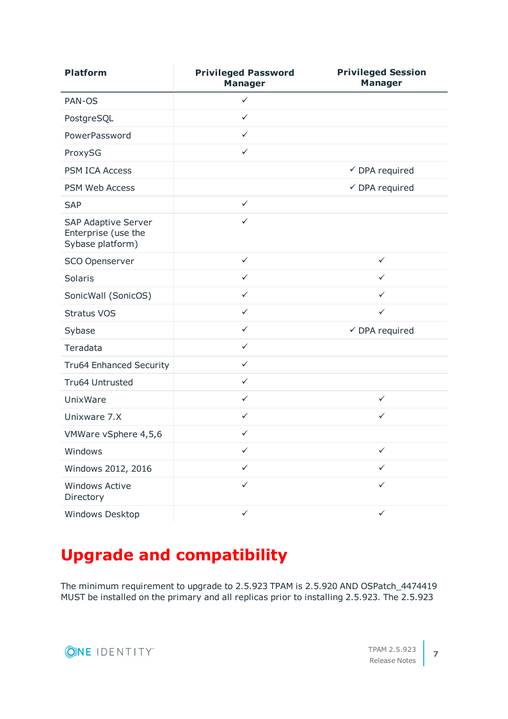| <b>Platform</b>                                                       | <b>Privileged Password</b><br><b>Manager</b> | <b>Privileged Session</b><br><b>Manager</b> |
|-----------------------------------------------------------------------|----------------------------------------------|---------------------------------------------|
| PAN-OS                                                                | $\checkmark$                                 |                                             |
| PostgreSQL                                                            | $\checkmark$                                 |                                             |
| PowerPassword                                                         | $\checkmark$                                 |                                             |
| ProxySG                                                               | $\checkmark$                                 |                                             |
| <b>PSM ICA Access</b>                                                 |                                              | $\checkmark$ DPA required                   |
| <b>PSM Web Access</b>                                                 |                                              | $\checkmark$ DPA required                   |
| <b>SAP</b>                                                            | $\checkmark$                                 |                                             |
| <b>SAP Adaptive Server</b><br>Enterprise (use the<br>Sybase platform) | $\checkmark$                                 |                                             |
| <b>SCO Openserver</b>                                                 | $\checkmark$                                 | $\checkmark$                                |
| <b>Solaris</b>                                                        | $\checkmark$                                 | $\checkmark$                                |
| SonicWall (SonicOS)                                                   | $\checkmark$                                 | ✓                                           |
| <b>Stratus VOS</b>                                                    | $\checkmark$                                 | $\checkmark$                                |
| Sybase                                                                | $\checkmark$                                 | $\checkmark$ DPA required                   |
| Teradata                                                              | $\checkmark$                                 |                                             |
| <b>Tru64 Enhanced Security</b>                                        | $\checkmark$                                 |                                             |
| Tru64 Untrusted                                                       | $\checkmark$                                 |                                             |
| UnixWare                                                              | $\checkmark$                                 | $\checkmark$                                |
| Unixware 7.X                                                          | $\checkmark$                                 | $\checkmark$                                |
| VMWare vSphere 4,5,6                                                  | $\checkmark$                                 |                                             |
| Windows                                                               | $\checkmark$                                 | ✓                                           |
| Windows 2012, 2016                                                    | $\checkmark$                                 | ✓                                           |
| <b>Windows Active</b><br>Directory                                    | $\checkmark$                                 | ✓                                           |
| Windows Desktop                                                       | $\checkmark$                                 | $\checkmark$                                |

## **Upgrade and compatibility**

The minimum requirement to upgrade to 2.5.923 TPAM is 2.5.920 AND OSPatch\_4474419 MUST be installed on the primary and all replicas prior to installing 2.5.923. The 2.5.923

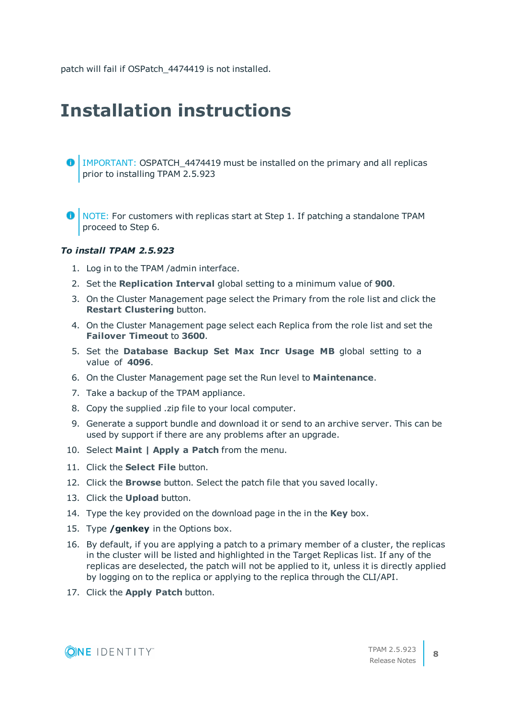patch will fail if OSPatch 4474419 is not installed.

## **Installation instructions**

- IMPORTANT: OSPATCH\_4474419 must be installed on the primary and all replicas prior to installing TPAM 2.5.923
- NOTE: For customers with replicas start at Step 1. If patching a standalone TPAM proceed to Step 6.

### *To install TPAM 2.5.923*

- 1. Log in to the TPAM /admin interface.
- 2. Set the **Replication Interval** global setting to a minimum value of **900**.
- 3. On the Cluster Management page select the Primary from the role list and click the **Restart Clustering** button.
- 4. On the Cluster Management page select each Replica from the role list and set the **Failover Timeout** to **3600**.
- 5. Set the **Database Backup Set Max Incr Usage MB** global setting to a value of **4096**.
- 6. On the Cluster Management page set the Run level to **Maintenance**.
- 7. Take a backup of the TPAM appliance.
- 8. Copy the supplied .zip file to your local computer.
- 9. Generate a support bundle and download it or send to an archive server. This can be used by support if there are any problems after an upgrade.
- 10. Select **Maint | Apply a Patch** from the menu.
- 11. Click the **Select File** button.
- 12. Click the **Browse** button. Select the patch file that you saved locally.
- 13. Click the **Upload** button.
- 14. Type the key provided on the download page in the in the **Key** box.
- 15. Type **/genkey** in the Options box.
- 16. By default, if you are applying a patch to a primary member of a cluster, the replicas in the cluster will be listed and highlighted in the Target Replicas list. If any of the replicas are deselected, the patch will not be applied to it, unless it is directly applied by logging on to the replica or applying to the replica through the CLI/API.
- 17. Click the **Apply Patch** button.

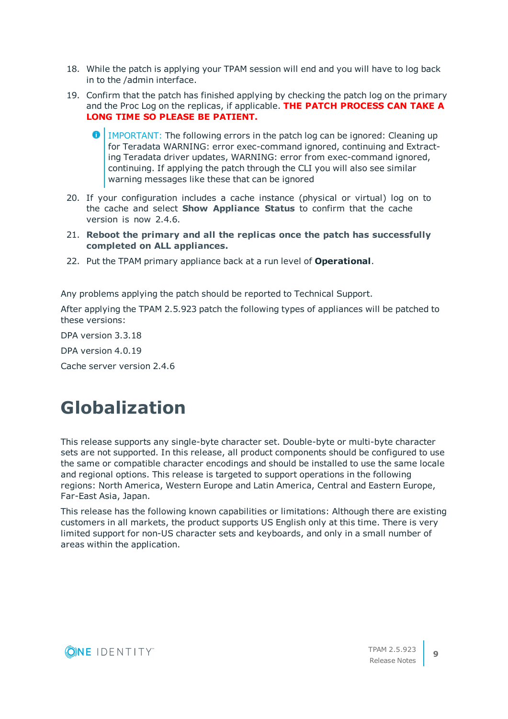- 18. While the patch is applying your TPAM session will end and you will have to log back in to the /admin interface.
- 19. Confirm that the patch has finished applying by checking the patch log on the primary and the Proc Log on the replicas, if applicable. **THE PATCH PROCESS CAN TAKE A LONG TIME SO PLEASE BE PATIENT.**
	- 0 IMPORTANT: The following errors in the patch log can be ignored: Cleaning up for Teradata WARNING: error exec-command ignored, continuing and Extracting Teradata driver updates, WARNING: error from exec-command ignored, continuing. If applying the patch through the CLI you will also see similar warning messages like these that can be ignored
- 20. If your configuration includes a cache instance (physical or virtual) log on to the cache and select **Show Appliance Status** to confirm that the cache version is now 2.4.6.
- 21. **Reboot the primary and all the replicas once the patch has successfully completed on ALL appliances.**
- 22. Put the TPAM primary appliance back at a run level of **Operational**.

Any problems applying the patch should be reported to Technical Support.

After applying the TPAM 2.5.923 patch the following types of appliances will be patched to these versions:

DPA version 3.3.18

DPA version 4.0.19

Cache server version 2.4.6

## **Globalization**

This release supports any single-byte character set. Double-byte or multi-byte character sets are not supported. In this release, all product components should be configured to use the same or compatible character encodings and should be installed to use the same locale and regional options. This release is targeted to support operations in the following regions: North America, Western Europe and Latin America, Central and Eastern Europe, Far-East Asia, Japan.

This release has the following known capabilities or limitations: Although there are existing customers in all markets, the product supports US English only at this time. There is very limited support for non-US character sets and keyboards, and only in a small number of areas within the application.